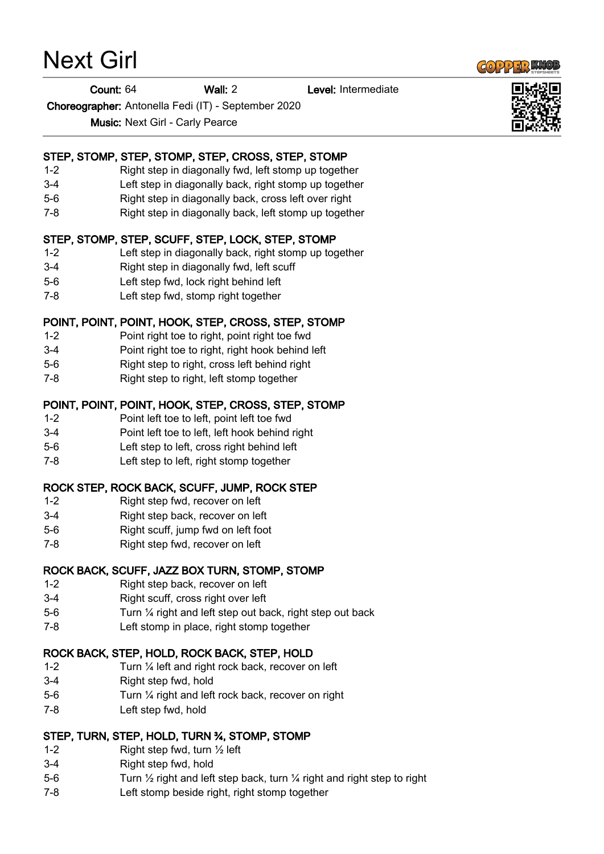Next Girl

#### Count: 64 Wall: 2 Level: Intermediate

Choreographer: Antonella Fedi (IT) - September 2020

Music: Next Girl - Carly Pearce

## STEP, STOMP, STEP, STOMP, STEP, CROSS, STEP, STOMP

- 1-2 Right step in diagonally fwd, left stomp up together
- 3-4 Left step in diagonally back, right stomp up together
- 5-6 Right step in diagonally back, cross left over right
- 7-8 Right step in diagonally back, left stomp up together

## STEP, STOMP, STEP, SCUFF, STEP, LOCK, STEP, STOMP

- 1-2 Left step in diagonally back, right stomp up together
- 3-4 Right step in diagonally fwd, left scuff
- 5-6 Left step fwd, lock right behind left
- 7-8 Left step fwd, stomp right together

## POINT, POINT, POINT, HOOK, STEP, CROSS, STEP, STOMP

- 1-2 Point right toe to right, point right toe fwd
- 3-4 Point right toe to right, right hook behind left
- 5-6 Right step to right, cross left behind right
- 7-8 Right step to right, left stomp together

## POINT, POINT, POINT, HOOK, STEP, CROSS, STEP, STOMP

- 1-2 Point left toe to left, point left toe fwd
- 3-4 Point left toe to left, left hook behind right
- 5-6 Left step to left, cross right behind left
- 7-8 Left step to left, right stomp together

## ROCK STEP, ROCK BACK, SCUFF, JUMP, ROCK STEP

- 1-2 Right step fwd, recover on left
- 3-4 Right step back, recover on left
- 5-6 Right scuff, jump fwd on left foot
- 7-8 Right step fwd, recover on left

# ROCK BACK, SCUFF, JAZZ BOX TURN, STOMP, STOMP

- 1-2 Right step back, recover on left
- 3-4 Right scuff, cross right over left
- 5-6 Turn ¼ right and left step out back, right step out back
- 7-8 Left stomp in place, right stomp together

## ROCK BACK, STEP, HOLD, ROCK BACK, STEP, HOLD

- 1-2 Turn ¼ left and right rock back, recover on left
- 3-4 Right step fwd, hold
- 5-6 Turn ¼ right and left rock back, recover on right
- 7-8 Left step fwd, hold

## STEP, TURN, STEP, HOLD, TURN ¾, STOMP, STOMP

- 1-2 Right step fwd, turn ½ left
- 3-4 Right step fwd, hold
- 5-6 Turn  $\frac{1}{2}$  right and left step back, turn  $\frac{1}{4}$  right and right step to right
- 7-8 Left stomp beside right, right stomp together